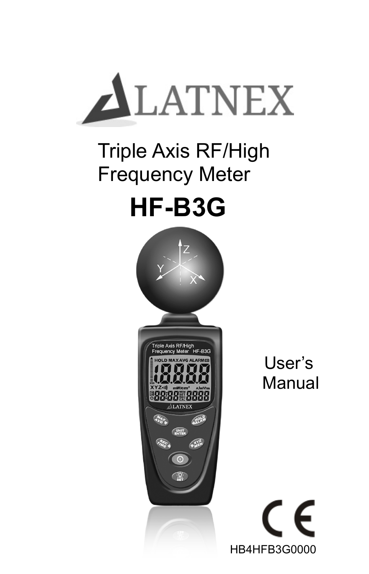

### Triple Axis RF/High Frequency Meter

## **HF-B3G**



User's Manual

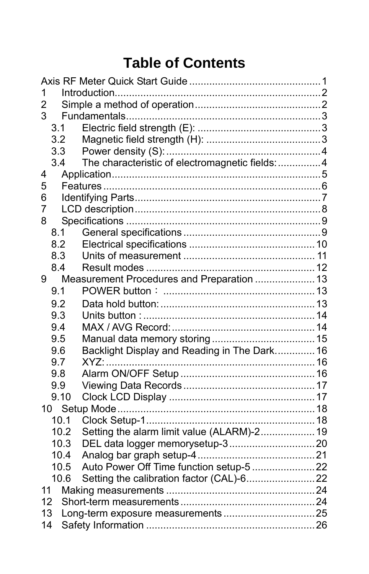### **Table of Contents**

| 1<br>$\overline{2}$<br>3<br>3.1<br>3.2<br>3.3<br>The characteristic of electromagnetic fields:  4<br>3.4<br>4<br>5<br>6<br>7 |
|------------------------------------------------------------------------------------------------------------------------------|
|                                                                                                                              |
|                                                                                                                              |
|                                                                                                                              |
|                                                                                                                              |
|                                                                                                                              |
|                                                                                                                              |
|                                                                                                                              |
|                                                                                                                              |
|                                                                                                                              |
|                                                                                                                              |
|                                                                                                                              |
| 8                                                                                                                            |
| 8.1                                                                                                                          |
| 8.2                                                                                                                          |
| 8.3                                                                                                                          |
| 8.4                                                                                                                          |
| Measurement Procedures and Preparation  13<br>9                                                                              |
| 9.1                                                                                                                          |
| 9.2                                                                                                                          |
| 9.3                                                                                                                          |
| 9.4                                                                                                                          |
| 9.5                                                                                                                          |
| Backlight Display and Reading in The Dark 16<br>9.6                                                                          |
| 9.7                                                                                                                          |
| 9.8                                                                                                                          |
| 9.9                                                                                                                          |
| 9.10                                                                                                                         |
|                                                                                                                              |
| 10.1                                                                                                                         |
| Setting the alarm limit value (ALARM)-2 19<br>10.2                                                                           |
| 10.3                                                                                                                         |
| 10.4                                                                                                                         |
| Auto Power Off Time function setup-5 22<br>10.5                                                                              |
| 10.6                                                                                                                         |
| 11                                                                                                                           |
| 12                                                                                                                           |
| 13                                                                                                                           |
| 14                                                                                                                           |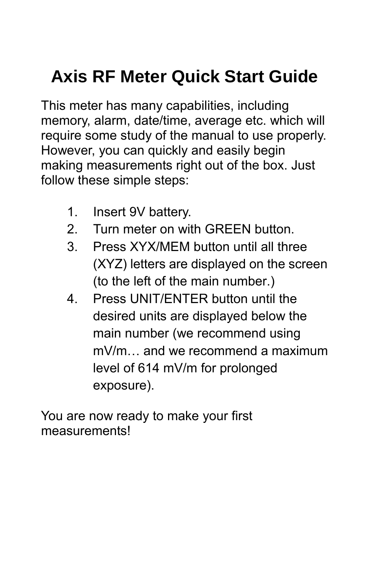### **Axis RF Meter Quick Start Guide**

This meter has many capabilities, including memory, alarm, date/time, average etc. which will require some study of the manual to use properly. However, you can quickly and easily begin making measurements right out of the box. Just follow these simple steps:

- 1. Insert 9V battery.
- 2. Turn meter on with GREEN button.
- 3. Press XYX/MEM button until all three (XYZ) letters are displayed on the screen (to the left of the main number.)
- 4. Press UNIT/ENTER button until the desired units are displayed below the main number (we recommend using mV/m… and we recommend a maximum level of 614 mV/m for prolonged exposure).

You are now ready to make your first measurements!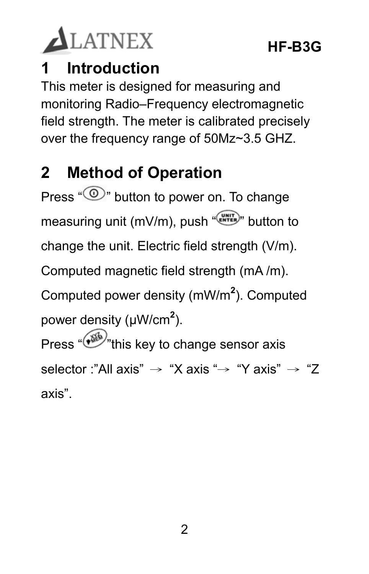

### **1 Introduction**

This meter is designed for measuring and monitoring Radio–Frequency electromagnetic field strength. The meter is calibrated precisely over the frequency range of 50Mz~3.5 GHZ.

### **2 Method of Operation**

Press " $\circledcirc$ " button to power on. To change measuring unit (mV/m), push " change the unit. Electric field strength (V/m). Computed magnetic field strength (mA /m).

Computed power density (mW/m**<sup>2</sup>** ). Computed power density (μW/cm**<sup>2</sup>** ).

Press " $\binom{36}{10}$ "this key to change sensor axis selector :"All axis" → "X axis "→ "Y axis" → "Z axis".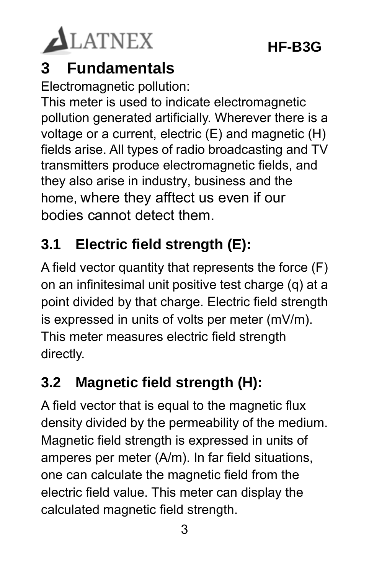

### **3 Fundamentals**

Electromagnetic pollution:

This meter is used to indicate electromagnetic pollution generated artificially. Wherever there is a voltage or a current, electric (E) and magnetic (H) fields arise. All types of radio broadcasting and TV transmitters produce electromagnetic fields, and they also arise in industry, business and the home, where they afftect us even if our bodies cannot detect them.

### **3.1 Electric field strength (E):**

A field vector quantity that represents the force (F) on an infinitesimal unit positive test charge (q) at a point divided by that charge. Electric field strength is expressed in units of volts per meter (mV/m). This meter measures electric field strength directly.

### **3.2 Magnetic field strength (H):**

A field vector that is equal to the magnetic flux density divided by the permeability of the medium. Magnetic field strength is expressed in units of amperes per meter (A/m). In far field situations, one can calculate the magnetic field from the electric field value. This meter can display the calculated magnetic field strength.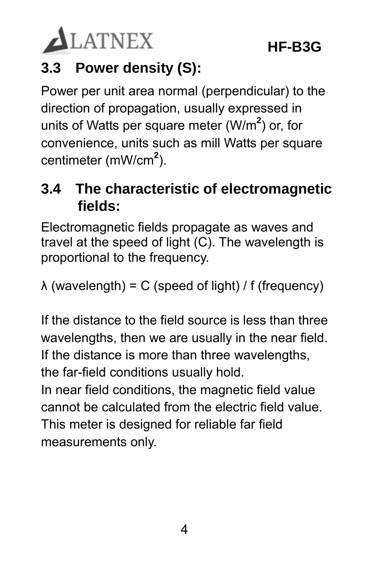

### **3.3 Power density (S):**

Power per unit area normal (perpendicular) to the direction of propagation, usually expressed in units of Watts per square meter (W/m**<sup>2</sup>** ) or, for convenience, units such as mill Watts per square centimeter (mW/cm**<sup>2</sup>** ).

### **3.4 The characteristic of electromagnetic fields:**

Electromagnetic fields propagate as waves and travel at the speed of light (C). The wavelength is proportional to the frequency.

λ (wavelength) = C (speed of light) / f (frequency)

If the distance to the field source is less than three wavelengths, then we are usually in the near field. If the distance is more than three wavelengths, the far-field conditions usually hold.

In near field conditions, the magnetic field value cannot be calculated from the electric field value. This meter is designed for reliable far field measurements only.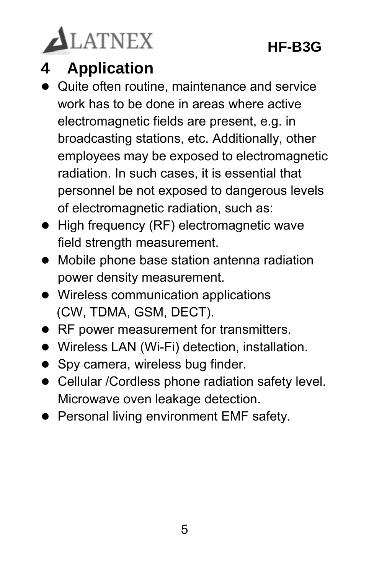

### **4 Application**

- Quite often routine, maintenance and service work has to be done in areas where active electromagnetic fields are present, e.g. in broadcasting stations, etc. Additionally, other employees may be exposed to electromagnetic radiation. In such cases, it is essential that personnel be not exposed to dangerous levels of electromagnetic radiation, such as:
- High frequency (RF) electromagnetic wave field strength measurement.
- Mobile phone base station antenna radiation power density measurement.
- Wireless communication applications (CW, TDMA, GSM, DECT).
- RF power measurement for transmitters.
- Wireless LAN (Wi-Fi) detection, installation.
- Spy camera, wireless bug finder.
- Cellular /Cordless phone radiation safety level. Microwave oven leakage detection.
- **•** Personal living environment EMF safety.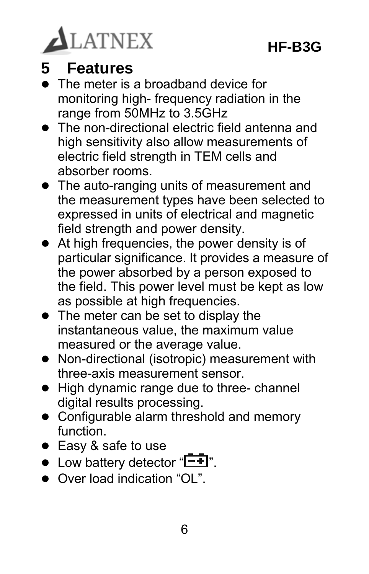

### **5 Features**

- The meter is a broadband device for monitoring high- frequency radiation in the range from 50MHz to 3.5GHz
- The non-directional electric field antenna and high sensitivity also allow measurements of electric field strength in TEM cells and absorber rooms.
- The auto-ranging units of measurement and the measurement types have been selected to expressed in units of electrical and magnetic field strength and power density.
- At high frequencies, the power density is of particular significance. It provides a measure of the power absorbed by a person exposed to the field. This power level must be kept as low as possible at high frequencies.
- The meter can be set to display the instantaneous value, the maximum value measured or the average value.
- Non-directional (isotropic) measurement with three-axis measurement sensor.
- High dynamic range due to three- channel digital results processing.
- Configurable alarm threshold and memory function.
- Easy & safe to use
- $\bullet$  Low battery detector " $\bullet$ ".
- Over load indication "OL"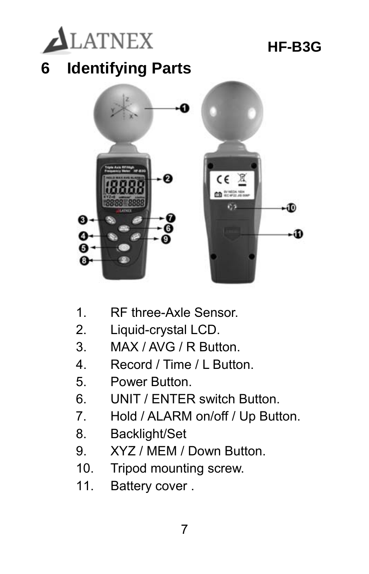

- 1. RF three-Axle Sensor.
- 2. Liquid-crystal LCD.
- 3. MAX / AVG / R Button.
- 4. Record / Time / L Button.
- 5. Power Button.
- 6. UNIT / ENTER switch Button.
- 7. Hold / ALARM on/off / Up Button.
- 8. Backlight/Set
- 9. XYZ / MEM / Down Button.
- 10. Tripod mounting screw.
- 11. Battery cover .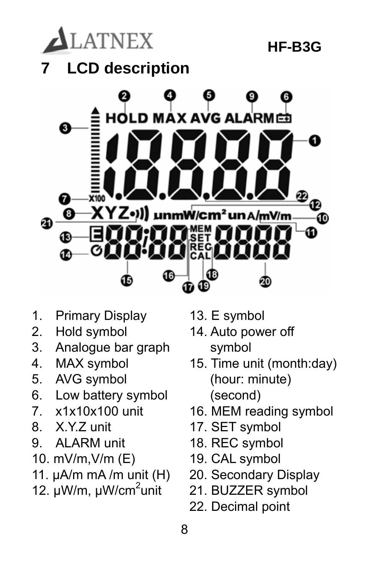

- 1. Primary Display
- 2. Hold symbol
- 3. Analogue bar graph
- 4. MAX symbol
- 5. AVG symbol
- 6. Low battery symbol
- 7. x1x10x100 unit
- 8. X.Y.Z unit
- 9. ALARM unit
- 10. mV/m,V/m (E)
- 11.  $\mu A/m$  mA /m unit (H)
- 12. µW/m, µW/cm<sup>2</sup>unit
- 13. E symbol
- 14. Auto power off symbol
- 15. Time unit (month:day) (hour: minute) (second)
- 16. MEM reading symbol
- 17. SET symbol
- 18. REC symbol
- 19. CAL symbol
- 20. Secondary Display
- 21. BUZZER symbol
- 22. Decimal point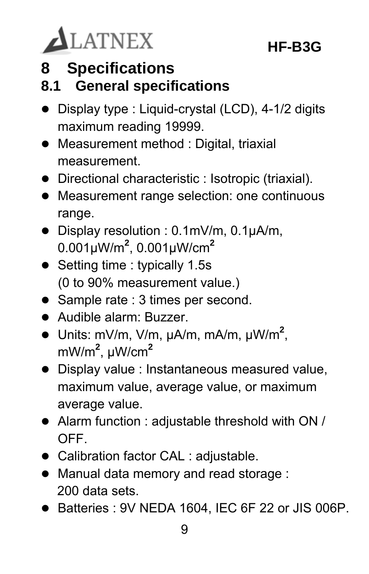

**8 Specifications** 

### **8.1 General specifications**

- Display type : Liquid-crystal (LCD), 4-1/2 digits maximum reading 19999.
- Measurement method : Digital, triaxial measurement.
- Directional characteristic : Isotropic (triaxial).
- Measurement range selection: one continuous range.
- Display resolution : 0.1mV/m, 0.1µA/m, 0.001µW/m**<sup>2</sup>** , 0.001µW/cm**<sup>2</sup>**
- Setting time : typically 1.5s (0 to 90% measurement value.)
- Sample rate : 3 times per second.
- Audible alarm: Buzzer.
- Units: mV/m, V/m, µA/m, mA/m, µW/m**<sup>2</sup>** , mW/m**<sup>2</sup>** , µW/cm**<sup>2</sup>**
- Display value : Instantaneous measured value, maximum value, average value, or maximum average value.
- Alarm function : adjustable threshold with ON / OFF.
- Calibration factor CAL : adjustable.
- Manual data memory and read storage : 200 data sets.
- Batteries : 9V NEDA 1604, IEC 6F 22 or JIS 006P.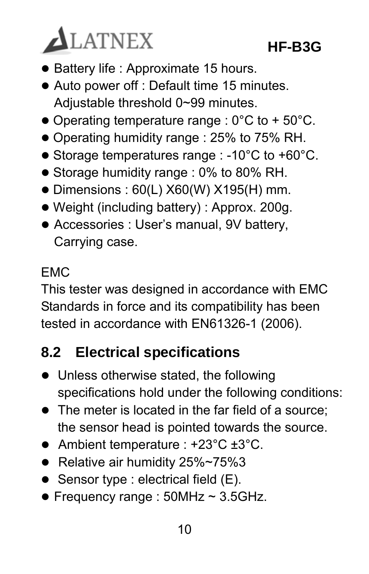

- Battery life : Approximate 15 hours.
- Auto power off : Default time 15 minutes. Adjustable threshold 0~99 minutes.
- $\bullet$  Operating temperature range : 0°C to + 50°C.
- Operating humidity range : 25% to 75% RH.
- Storage temperatures range : -10°C to +60°C.
- Storage humidity range : 0% to 80% RH.
- $\bullet$  Dimensions : 60(L) X60(W) X195(H) mm.
- Weight (including battery) : Approx. 200g.
- Accessories : User's manual, 9V battery, Carrying case.

#### EMC

This tester was designed in accordance with EMC Standards in force and its compatibility has been tested in accordance with EN61326-1 (2006).

#### **8.2 Electrical specifications**

- Unless otherwise stated, the following specifications hold under the following conditions:
- The meter is located in the far field of a source: the sensor head is pointed towards the source.
- Ambient temperature : +23°C ±3°C.
- Relative air humidity 25%~75%3
- $\bullet$  Sensor type : electrical field (E).
- $\bullet$  Frequency range : 50MHz ~ 3.5GHz.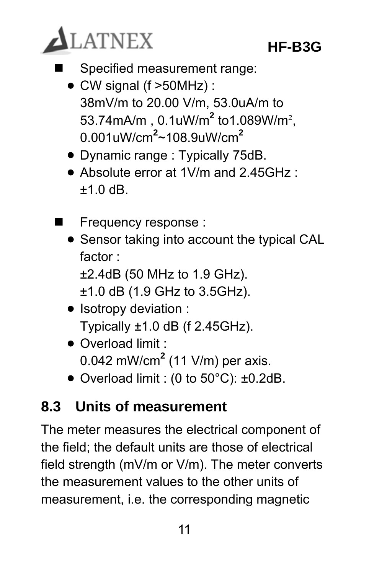

- Specified measurement range:
	- CW signal (f >50MHz) : 38mV/m to 20.00 V/m, 53.0uA/m to 53.74mA/m , 0.1uW/m**<sup>2</sup>** to1.089W/m², 0.001uW/cm**<sup>2</sup>** ~108.9uW/cm**<sup>2</sup>**
	- Dynamic range : Typically 75dB.
	- Absolute error at 1V/m and 2.45GHz ·  $+1.0$  dB.
- Frequency response :
	- Sensor taking into account the typical CAL factor : ±2.4dB (50 MHz to 1.9 GHz).
		- ±1.0 dB (1.9 GHz to 3.5GHz).
	- Isotropy deviation : Typically  $\pm 1.0$  dB (f 2.45GHz).
	- Overload limit · 0.042 mW/cm**<sup>2</sup>** (11 V/m) per axis.
	- Overload limit : (0 to 50°C): ±0.2dB.

#### **8.3 Units of measurement**

The meter measures the electrical component of the field; the default units are those of electrical field strength (mV/m or V/m). The meter converts the measurement values to the other units of measurement, i.e. the corresponding magnetic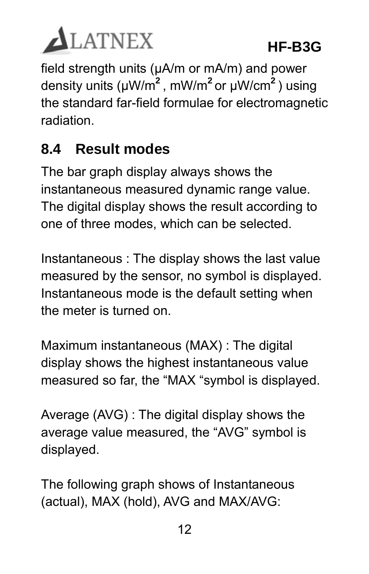

field strength units (µA/m or mA/m) and power density units (µW/m**<sup>2</sup>** , mW/m**<sup>2</sup>**or µW/cm**<sup>2</sup>** ) using the standard far-field formulae for electromagnetic radiation.

### **8.4 Result modes**

The bar graph display always shows the instantaneous measured dynamic range value. The digital display shows the result according to one of three modes, which can be selected.

Instantaneous : The display shows the last value measured by the sensor, no symbol is displayed. Instantaneous mode is the default setting when the meter is turned on.

Maximum instantaneous (MAX) : The digital display shows the highest instantaneous value measured so far, the "MAX "symbol is displayed.

Average (AVG) : The digital display shows the average value measured, the "AVG" symbol is displayed.

The following graph shows of Instantaneous (actual), MAX (hold), AVG and MAX/AVG: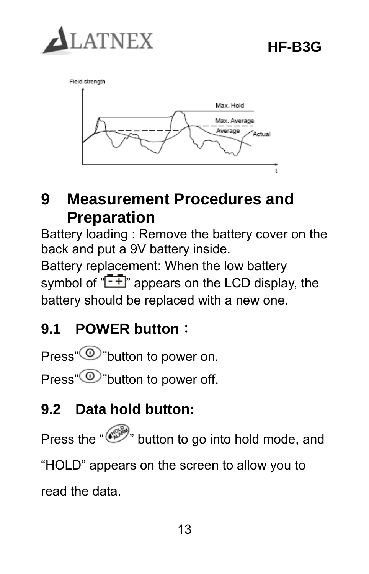



### **9 Measurement Procedures and Preparation**

Battery loading : Remove the battery cover on the back and put a 9V battery inside.

Battery replacement: When the low battery symbol of  $\sqrt[n]{-1}$  appears on the LCD display, the battery should be replaced with a new one.

### **9.1 POWER button**:

Press" $\circled{0}$ "button to power on.

Press"<sup>O</sup>"button to power off.

### **9.2 Data hold button:**

Press the " " button to go into hold mode, and "HOLD" appears on the screen to allow you to read the data.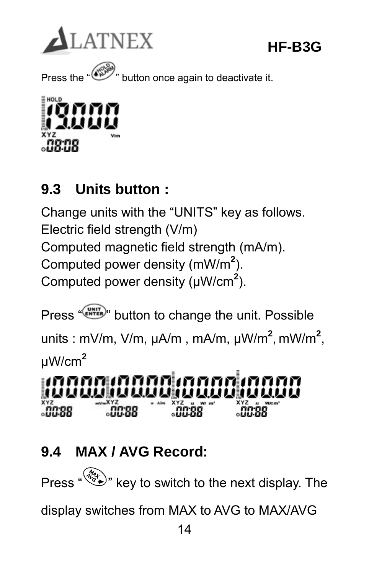

Press the "  $\overbrace{ }$ " button once again to deactivate it.



### **9.3 Units button :**

Change units with the "UNITS" key as follows. Electric field strength (V/m) Computed magnetic field strength (mA/m). Computed power density (mW/m**<sup>2</sup>** ). Computed power density (μW/cm**<sup>2</sup>** ).

Press " **CONTER**" button to change the unit. Possible units : mV/m, V/m, µA/m , mA/m, µW/m**<sup>2</sup>** , mW/m**<sup>2</sup>** , µW/cm**<sup>2</sup>**

<u>INNANIANA INNAN</u> iddiddiadau iddida ៓៓ឨ៓៓៓៓៓៓៓៓៓៓៓៓៓៓៓៓  $.0088$  $.0088$ <u>.nn ad</u>

### **9.4 MAX / AVG Record:**

Press  $\sqrt{\frac{m}{n}}$  key to switch to the next display. The

display switches from MAX to AVG to MAX/AVG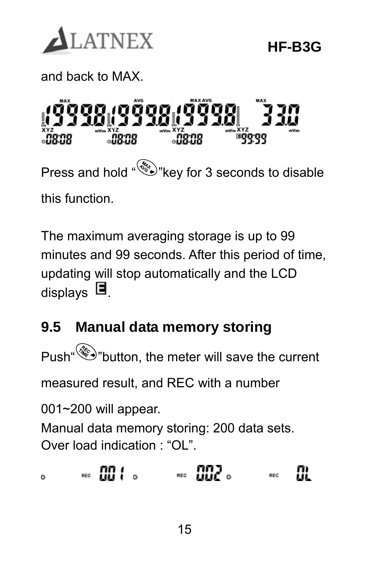

and back to MAX.

ចេតិចចា  $\overline{0}$ ិរើន:ជន  $\Box$ Press and hold "  $\mathcal{B}$ " key for 3 seconds to disable this function.

The maximum averaging storage is up to 99 minutes and 99 seconds. After this period of time, updating will stop automatically and the LCD displays  $\blacksquare$ 

### **9.5 Manual data memory storing**

Push " button, the meter will save the current

measured result, and REC with a number

001~200 will appear.

ó

Manual data memory storing: 200 data sets. Over load indication : "OL".

 $\overline{\phantom{a}}$  .  $\overline{\phantom{a}}$  .  $\overline{\phantom{a}}$  $\overline{a}$   $\overline{a}$   $\overline{a}$   $\overline{a}$   $\overline{a}$   $\overline{a}$   $\overline{a}$   $\overline{a}$   $\overline{a}$   $\overline{a}$   $\overline{a}$   $\overline{a}$   $\overline{a}$   $\overline{a}$   $\overline{a}$   $\overline{a}$   $\overline{a}$   $\overline{a}$   $\overline{a}$   $\overline{a}$   $\overline{a}$   $\overline{a}$   $\overline{a}$   $\overline{a}$   $\overline{$ m REC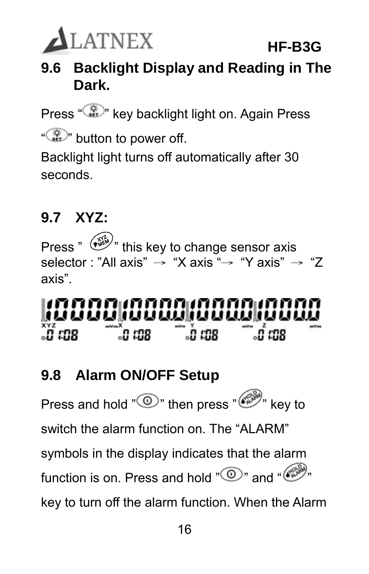

### **9.6 Backlight Display and Reading in The Dark.**

Press "  $\mathbb{R}^n$  key backlight light on. Again Press

"<sup>"</sup> button to power off.

Backlight light turns off automatically after 30 seconds.

### **9.7 XYZ:**

Press "  $\left(\widehat{\mathbb{Z}}\right)^{n}$  this key to change sensor axis selector : "All axis"  $\rightarrow$  "X axis"  $\rightarrow$  "Y axis"  $\rightarrow$  "7 axis".

#### <u>INDONINININININININ</u> ំបី **រេចន and m** ្លា ពាន ្មប្បី ឈន

### **9.8 Alarm ON/OFF Setup**

Press and hold " $\circled{0}$ " then press " $\circled{e}^{\otimes n}$ " key to switch the alarm function on. The "AI ARM" symbols in the display indicates that the alarm function is on. Press and hold  $\mathbb{C}^n$  and " $\mathbb{C}^n$ " key to turn off the alarm function. When the Alarm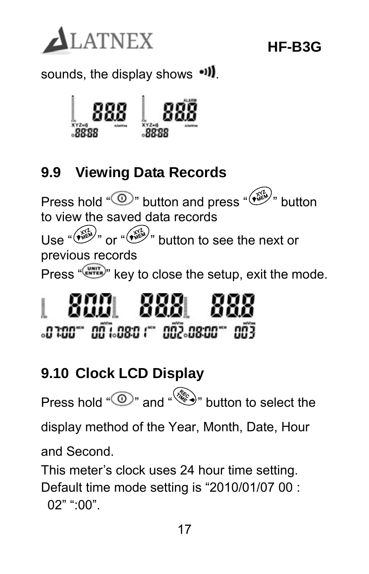

sounds, the display shows ...



### **9.9 Viewing Data Records**

Press hold "  $\circledcirc$ " button and press " $\circledast$ " button to view the saved data records  $U$ ا $\approx$  " $\widetilde{W}$ " or " $\widetilde{W}$ " button to see the next or previous records Press "(WHITER)" key to close the setup, exit the mode.

### 8881  $.0100 - 001.080 - 002.0800 - 003$

### **9.10 Clock LCD Display**

Press hold " $\circled{2}$ " and " $\circled{3}$ " button to select the

display method of the Year, Month, Date, Hour

and Second.

This meter's clock uses 24 hour time setting.

Default time mode setting is "2010/01/07 00 : 02" ":00".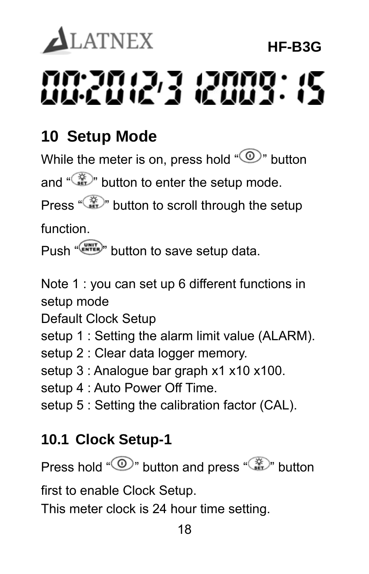# **ALATNEX HF-B3G**  nn an 17 anna : 15

### **10 Setup Mode**

While the meter is on, press hold " $\circled{2}$ " button

and "  $\mathbb{Z}^n$  button to enter the setup mode.

Press " $\mathbb{Z}$ " button to scroll through the setup

function.

Push "<sup>CHNTER</sup>" button to save setup data.

Note 1 : you can set up 6 different functions in setup mode

Default Clock Setup

setup 1 : Setting the alarm limit value (ALARM).

setup 2 : Clear data logger memory.

setup 3 : Analogue bar graph x1 x10 x100.

setup 4 : Auto Power Off Time.

setup 5 : Setting the calibration factor (CAL).

### **10.1 Clock Setup-1**

Press hold " $\bigcirc$ " button and press "  $\bigcirc$ " button

first to enable Clock Setup.

This meter clock is 24 hour time setting.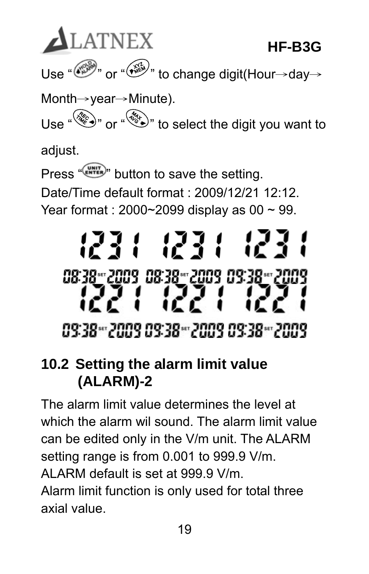**ALATNEX HF-B3G**  Use " $\stackrel{\cdots}{\longleftrightarrow}$ " or " $\stackrel{\cdots}{\longleftrightarrow}$ " to change digit(Hour→day→ Month→year→Minute). Use " or " " o select the digit you want to adjust.

Press " ENTER" button to save the setting. Date/Time default format : 2009/12/21 12:12 Year format : 2000~2099 display as 00 ~ 99.

# 1231 1231 08:38 2009 08:38 2009 09:38 2009 09:38-2009 09:38-2009 09:38-2009

### **10.2 Setting the alarm limit value (ALARM)-2**

The alarm limit value determines the level at which the alarm wil sound. The alarm limit value can be edited only in the V/m unit. The ALARM setting range is from 0.001 to 999.9 V/m. ALARM default is set at 999.9 V/m.

Alarm limit function is only used for total three axial value.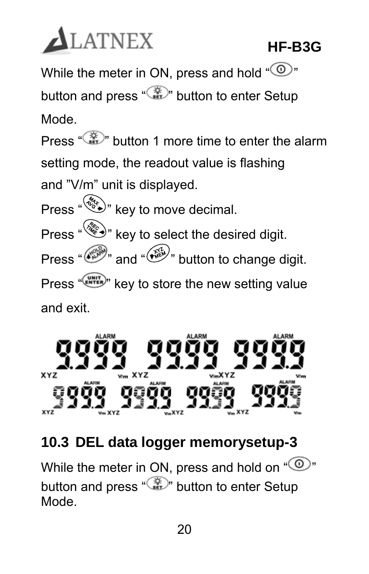

While the meter in ON, press and hold " $\mathbb{O}$ " button and press "  $\mathbb{Z}^n$  button to enter Setup

Mode.

Press "  $\mathbb{R}^n$  button 1 more time to enter the alarm setting mode, the readout value is flashing and "V/m" unit is displayed.

Press " ( $\mathcal{L}$  )" key to move decimal. Press " key to select the desired digit. Press "  $\overbrace{N}$ " and " $\overbrace{N}$ " button to change digit. Press "(ENTER)" key to store the new setting value and exit.



### **10.3 DEL data logger memorysetup-3**

While the meter in ON, press and hold on  $\omega$ " button and press "  $\mathbb{Z}^n$  button to enter Setup Mode.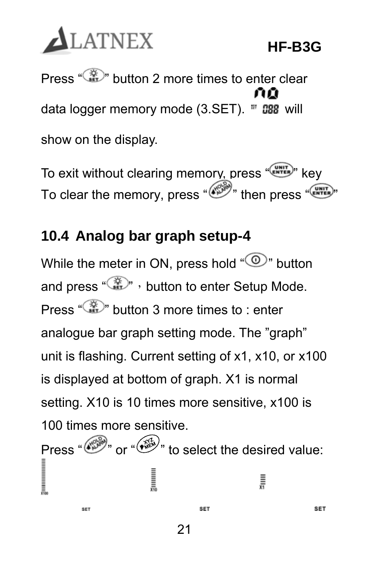

Press "  $\frac{1}{2}$ " button 2 more times to enter clear data logger memory mode  $(3.SET)$ .  $\overline{w}$  ass will show on the display.

To exit without clearing memory, press " (NHTER)" key To clear the memory, press " ( $\overbrace{\cdots}^{\text{even}}$ " then press "  $\overbrace{\cdots}^{\text{even}}$ "

### **10.4 Analog bar graph setup-4**

While the meter in ON, press hold " $\mathbb{O}$ " button and press "  $\mathbb{Z}^n$ , button to enter Setup Mode. Press "  $\mathbb{R}^n$  button 3 more times to : enter analogue bar graph setting mode. The "graph" unit is flashing. Current setting of x1, x10, or x100 is displayed at bottom of graph. X1 is normal setting. X10 is 10 times more sensitive, x100 is 100 times more sensitive.

Press "  $\mathbb{R}^m$  or " $\mathbb{R}^m$ " to select the desired value: **Summmmm** Į **SET SET** SET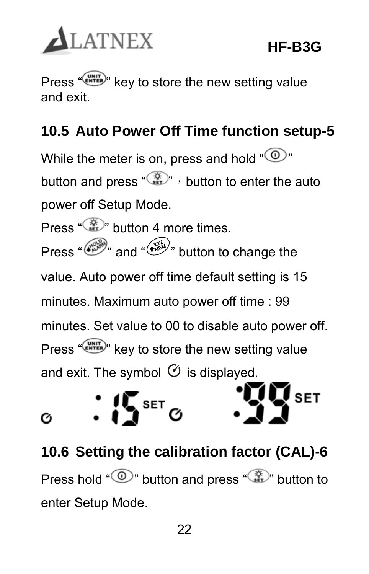

Press " (NHIT)" key to store the new setting value and exit.

### **10.5 Auto Power Off Time function setup-5**

While the meter is on, press and hold " $\circled{0}$ " button and press " $\mathbb{R}^n$ , button to enter the auto power off Setup Mode.

Press " we button 4 more times. Press "  $\mathbb{R}^n$  and " $\mathbb{R}^n$  button to change the value. Auto power off time default setting is 15 minutes. Maximum auto power off time : 99 minutes. Set value to 00 to disable auto power off. Press "  $\frac{W_{\text{ENTER}}}{W_{\text{ENTER}}}$ " key to store the new setting value and exit. The symbol  $\Theta$  is displayed.



### **10.6 Setting the calibration factor (CAL)-6**  Press hold " $\mathbb{O}$ " button and press " $\mathbb{Z}$ " button to enter Setup Mode.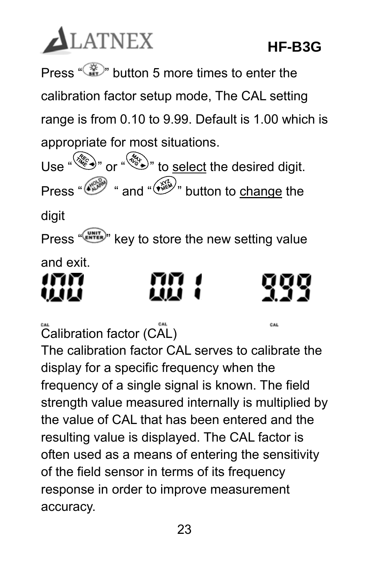# **ALATNEX**

CAL

Press " $\mathbb{Z}^n$  button 5 more times to enter the calibration factor setup mode, The CAL setting range is from 0.10 to 9.99. Default is 1.00 which is appropriate for most situations.

Use  $\bigotimes^{\omega}$  or  $\bigotimes^{\omega}$  to select the desired digit. Press " $\circled{^{\mathscr{C}\!\!\mathscr{P}}}$ " and " $\circled{^{\mathscr{C}\!\!\mathscr{P}}}$ " button to change the

digit

Press "("""""""" key to store the new setting value and exit.

mm 41.ILI

Calibration factor (CAL)

The calibration factor CAL serves to calibrate the display for a specific frequency when the frequency of a single signal is known. The field strength value measured internally is multiplied by the value of CAL that has been entered and the resulting value is displayed. The CAL factor is often used as a means of entering the sensitivity of the field sensor in terms of its frequency response in order to improve measurement accuracy.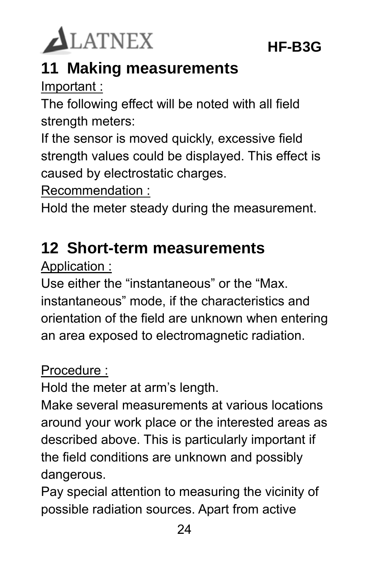

### **11 Making measurements**

Important :

The following effect will be noted with all field strength meters:

If the sensor is moved quickly, excessive field strength values could be displayed. This effect is caused by electrostatic charges.

Recommendation :

Hold the meter steady during the measurement.

### **12 Short-term measurements**

Application :

Use either the "instantaneous" or the "Max. instantaneous" mode, if the characteristics and orientation of the field are unknown when entering an area exposed to electromagnetic radiation.

#### Procedure :

Hold the meter at arm's length.

Make several measurements at various locations around your work place or the interested areas as described above. This is particularly important if the field conditions are unknown and possibly dangerous.

Pay special attention to measuring the vicinity of possible radiation sources. Apart from active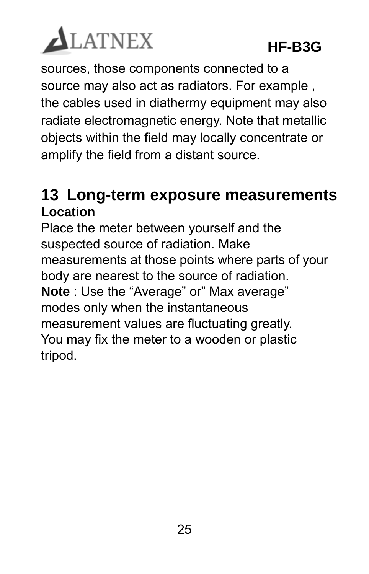

sources, those components connected to a source may also act as radiators. For example , the cables used in diathermy equipment may also radiate electromagnetic energy. Note that metallic objects within the field may locally concentrate or amplify the field from a distant source.

#### **13 Long-term exposure measurements Location**

Place the meter between yourself and the suspected source of radiation. Make measurements at those points where parts of your body are nearest to the source of radiation. **Note** : Use the "Average" or" Max average" modes only when the instantaneous measurement values are fluctuating greatly. You may fix the meter to a wooden or plastic tripod.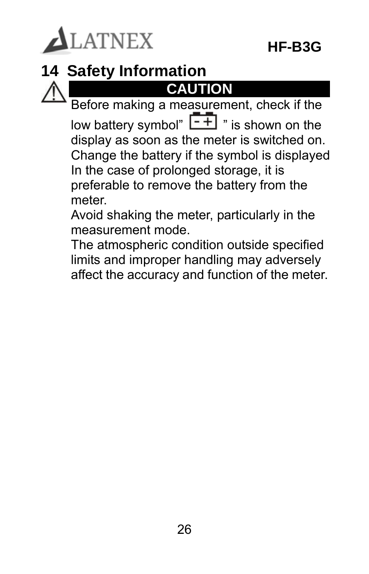

### **14 Safety Information**

### **CAUTION**

Before making a measurement, check if the low battery symbol"  $\boxed{\overline{.+}}$  " is shown on the display as soon as the meter is switched on. Change the battery if the symbol is displayed In the case of prolonged storage, it is preferable to remove the battery from the meter.

Avoid shaking the meter, particularly in the measurement mode.

The atmospheric condition outside specified limits and improper handling may adversely affect the accuracy and function of the meter.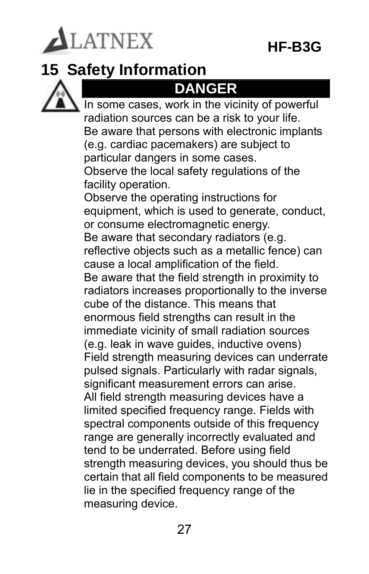LATNEX

### **15 Safety Information**



### **DANGER**

In some cases, work in the vicinity of powerful radiation sources can be a risk to your life. Be aware that persons with electronic implants (e.g. cardiac pacemakers) are subject to particular dangers in some cases. Observe the local safety regulations of the facility operation. Observe the operating instructions for equipment, which is used to generate, conduct, or consume electromagnetic energy. Be aware that secondary radiators (e.g. reflective objects such as a metallic fence) can cause a local amplification of the field. Be aware that the field strength in proximity to radiators increases proportionally to the inverse cube of the distance. This means that enormous field strengths can result in the immediate vicinity of small radiation sources (e.g. leak in wave guides, inductive ovens) Field strength measuring devices can underrate pulsed signals. Particularly with radar signals, significant measurement errors can arise. All field strength measuring devices have a limited specified frequency range. Fields with spectral components outside of this frequency range are generally incorrectly evaluated and tend to be underrated. Before using field strength measuring devices, you should thus be certain that all field components to be measured lie in the specified frequency range of the measuring device.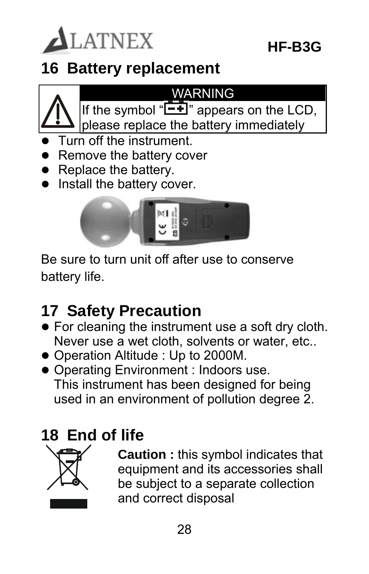

### **16 Battery replacement**



#### WARNING

- If the symbol " $\boxed{\phantom{2}^{\bullet}}$ " appears on the LCD, please replace the battery immediately
- Turn off the instrument.
- Remove the battery cover
- Replace the battery.
- Install the battery cover.



Be sure to turn unit off after use to conserve battery life.

### **17 Safety Precaution**

- For cleaning the instrument use a soft dry cloth. Never use a wet cloth, solvents or water, etc..
- Operation Altitude : Up to 2000M.
- Operating Environment : Indoors use. This instrument has been designed for being used in an environment of pollution degree 2.

### **18 End of life**



**Caution :** this symbol indicates that equipment and its accessories shall be subject to a separate collection and correct disposal